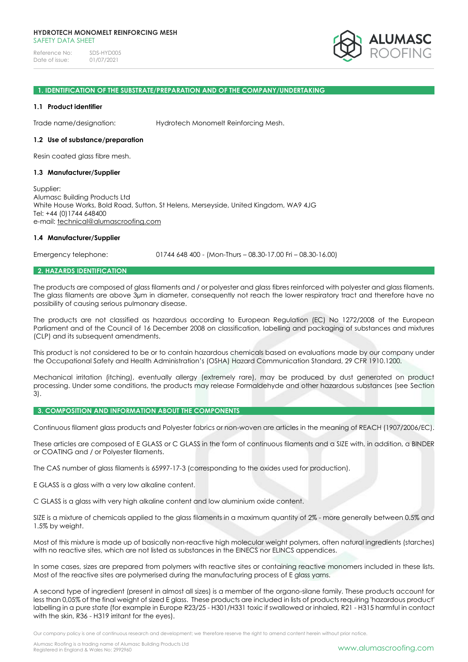

### **1. IDENTIFICATION OF THE SUBSTRATE/PREPARATION AND OF THE COMPANY/UNDERTAKING**

### **1.1 Product identifier**

Trade name/designation: Hydrotech Monomelt Reinforcing Mesh.

### **1.2 Use of substance/preparation**

Resin coated glass fibre mesh.

### **1.3 Manufacturer/Supplier**

Supplier: Alumasc Building Products Ltd White House Works, Bold Road, Sutton, St Helens, Merseyside, United Kingdom, WA9 4JG Tel: +44 (0)1744 648400 e-mail: [technical@alumascroofing.com](mailto:technical@alumascroofing.com)

### **1.4 Manufacturer/Supplier**

Emergency telephone: 01744 648 400 - (Mon-Thurs – 08.30-17.00 Fri – 08.30-16.00)

### **2. HAZARDS IDENTIFICATION**

The products are composed of glass filaments and / or polyester and glass fibres reinforced with polyester and glass filaments. The glass filaments are above 3µm in diameter, consequently not reach the lower respiratory tract and therefore have no possibility of causing serious pulmonary disease.

The products are not classified as hazardous according to European Regulation (EC) No 1272/2008 of the European Parliament and of the Council of 16 December 2008 on classification, labelling and packaging of substances and mixtures (CLP) and its subsequent amendments.

This product is not considered to be or to contain hazardous chemicals based on evaluations made by our company under the Occupational Safety and Health Administration's (OSHA) Hazard Communication Standard, 29 CFR 1910.1200.

Mechanical irritation (itching), eventually allergy (extremely rare), may be produced by dust generated on product processing. Under some conditions, the products may release Formaldehyde and other hazardous substances (see Section 3).

### **3. COMPOSITION AND INFORMATION ABOUT THE COMPONENTS**

Continuous filament glass products and Polyester fabrics or non-woven are articles in the meaning of REACH (1907/2006/EC).

These articles are composed of E GLASS or C GLASS in the form of continuous filaments and a SIZE with, in addition, a BINDER or COATING and / or Polyester filaments.

The CAS number of glass filaments is 65997-17-3 (corresponding to the oxides used for production).

E GLASS is a glass with a very low alkaline content.

C GLASS is a glass with very high alkaline content and low aluminium oxide content.

SIZE is a mixture of chemicals applied to the glass filaments in a maximum quantity of 2% - more generally between 0.5% and 1.5% by weight.

Most of this mixture is made up of basically non-reactive high molecular weight polymers, often natural ingredients (starches) with no reactive sites, which are not listed as substances in the EINECS nor ELINCS appendices.

In some cases, sizes are prepared from polymers with reactive sites or containing reactive monomers included in these lists. Most of the reactive sites are polymerised during the manufacturing process of E glass yarns.

A second type of ingredient (present in almost all sizes) is a member of the organo-silane family. These products account for less than 0,05% of the final weight of sized E glass. These products are included in lists of products requiring 'hazardous product' labelling in a pure state (for example in Europe R23/25 - H301/H331 toxic if swallowed or inhaled, R21 - H315 harmful in contact with the skin, R36 - H319 irritant for the eyes).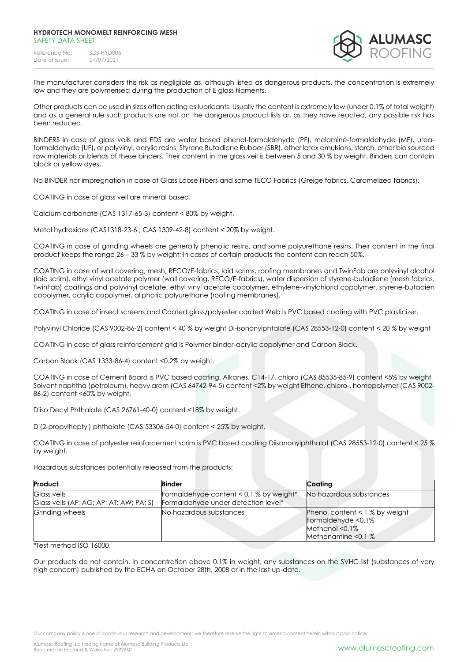

The manufacturer considers this risk as negligible as, although listed as dangerous products, the concentration is extremely low and they are polymerised during the production of E glass filaments.

Other products can be used in sizes often acting as lubricants. Usually the content is extremely low (under 0.1% of total weight) and as a general rule such products are not on the dangerous product lists or, as they have reacted, any possible risk has been reduced.

BINDERS in case of glass veils and EDS are water based phenol-formaldehyde (PF), melamine-formaldehyde (MF), ureaformaldehyde (UF), or polyvinyl, acrylic resins, Styrene Butadiene Rubber (SBR), other latex emulsions, starch, other bio sourced raw materials or blends of these binders. Their content in the glass veil is between 5 and 30 % by weight. Binders can contain black or yellow dyes.

No BINDER nor impregnation in case of Glass Loose Fibers and some TECO Fabrics (Greige fabrics, Caramelized fabrics).

COATING in case of glass veil are mineral based.

Calcium carbonate (CAS 1317-65-3) content < 80% by weight.

Metal hydroxides (CAS1318-23-6 ; CAS 1309-42-8) content < 20% by weight.

COATING in case of grinding wheels are generally phenolic resins, and some polyurethane resins. Their content in the final product keeps the range 26 – 33 % by weight; in cases of certain products the content can reach 50%.

COATING in case of wall covering, mesh, RECO/E-fabrics, laid scrims, roofing membranes and TwinFab are polyvinyl alcohol (laid scrim), ethyl vinyl acetate polymer (wall covering, RECO/E-fabrics), water dispersion of styrene-butadiene (mesh fabrics, TwinFab) coatings and polyvinyl acetate, ethyl vinyl acetate copolymer, ethylene-vinylchlorid copolymer, styrene-butadien copolymer, acrylic copolymer, aliphatic polyurethane (roofing membranes).

COATING in case of insect screens and Coated glass/polyester carded Web is PVC based coating with PVC plasticizer.

Polyvinyl Chloride (CAS 9002-86-2) content < 40 % by weight Di-isononylphtalate (CAS 28553-12-0) content < 20 % by weight

COATING in case of glass reinforcement grid is Polymer binder-acrylic copolymer and Carbon Black.

Carbon Black (CAS 1333-86-4) content <0.2% by weight.

COATING in case of Cement Board is PVC based coating. Alkanes, C14-17, chloro (CAS 85535-85-9) content <5% by weight Solvent naphtha (petroleum), heavy arom (CAS 64742-94-5) content <2% by weight Ethene, chloro-, homopolymer (CAS 9002- 86-2) content <60% by weight.

Diiso Decyl Phthalate (CAS 26761-40-0) content <18% by weight.

Di(2-propylheptyl) phthalate (CAS 53306-54-0) content < 25% by weight.

COATING in case of polyester reinforcement scrim is PVC based coating Diisononylphthalat (CAS 28553-12-0) content < 25 % by weight.

Hazardous substances potentially released from the products:

| Product                                                       | <b>Binder</b>                                                                  | Coating                                                                                                  |
|---------------------------------------------------------------|--------------------------------------------------------------------------------|----------------------------------------------------------------------------------------------------------|
| <b>Glass veils</b><br>Glass veils (AF; AG; AP; AT; AW; PA; S) | Formaldehyde content < 0,1 % by weight*<br>Formaldehyde under detection level* | No hazardous substances                                                                                  |
| Grinding wheels                                               | No hazardous substances                                                        | Phenol content $< 1$ % by weight<br>Formaldehyde <0,1%<br>Methanol $< 0.1\%$<br>Methenamine $\leq 0.1$ % |

\*Test method ISO 16000.

Our products do not contain, in concentration above 0.1% in weight, any substances on the SVHC list (substances of very high concern) published by the ECHA on October 28th, 2008 or in the last up-date.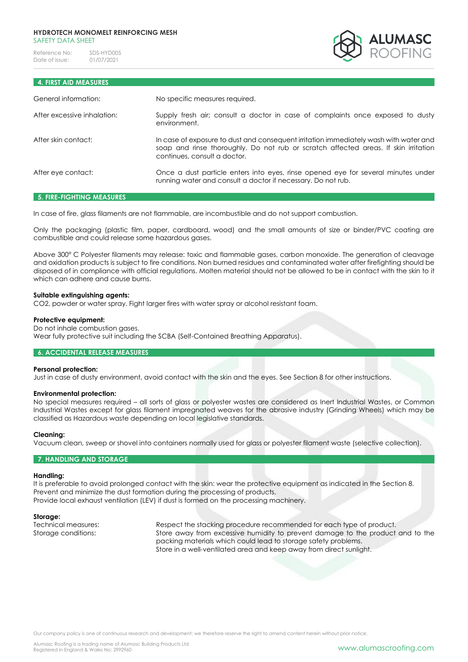

# **4. FIRST AID MEASURES**

| General information:        | No specific measures required.                                                                                                                                                                               |
|-----------------------------|--------------------------------------------------------------------------------------------------------------------------------------------------------------------------------------------------------------|
| After excessive inhalation: | Supply fresh air; consult a doctor in case of complaints once exposed to dusty<br>environment.                                                                                                               |
| After skin contact:         | In case of exposure to dust and consequent irritation immediately wash with water and<br>soap and rinse thoroughly. Do not rub or scratch affected areas. If skin irritation<br>continues, consult a doctor. |
| After eye contact:          | Once a dust particle enters into eyes, rinse opened eye for several minutes under<br>running water and consult a doctor if necessary. Do not rub.                                                            |

### **5. FIRE-FIGHTING MEASURES**

In case of fire, glass filaments are not flammable, are incombustible and do not support combustion.

Only the packaging (plastic film, paper, cardboard, wood) and the small amounts of size or binder/PVC coating are combustible and could release some hazardous gases.

Above 300° C Polyester filaments may release: toxic and flammable gases, carbon monoxide. The generation of cleavage and oxidation products is subject to fire conditions. Non burned residues and contaminated water after firefighting should be disposed of in compliance with official regulations. Molten material should not be allowed to be in contact with the skin to it which can adhere and cause burns.

### **Suitable extinguishing agents:**

CO2, powder or water spray. Fight larger fires with water spray or alcohol resistant foam.

### **Protective equipment:**

Do not inhale combustion gases. Wear fully protective suit including the SCBA (Self-Contained Breathing Apparatus).

### **6. ACCIDENTAL RELEASE MEASURES**

### **Personal protection:**

Just in case of dusty environment, avoid contact with the skin and the eyes. See Section 8 for other instructions.

### **Environmental protection:**

No special measures required – all sorts of glass or polyester wastes are considered as Inert Industrial Wastes, or Common Industrial Wastes except for glass filament impregnated weaves for the abrasive industry (Grinding Wheels) which may be classified as Hazardous waste depending on local legislative standards.

### **Cleaning:**

Vacuum clean, sweep or shovel into containers normally used for glass or polyester filament waste (selective collection).

### **7. HANDLING AND STORAGE**

### **Handling:**

It is preferable to avoid prolonged contact with the skin: wear the protective equipment as indicated in the Section 8. Prevent and minimize the dust formation during the processing of products. Provide local exhaust ventilation (LEV) if dust is formed on the processing machinery.

**Storage:**

Technical measures: Respect the stacking procedure recommended for each type of product. Storage conditions: Store away from excessive humidity to prevent damage to the product and to the packing materials which could lead to storage safety problems. Store in a well-ventilated area and keep away from direct sunlight.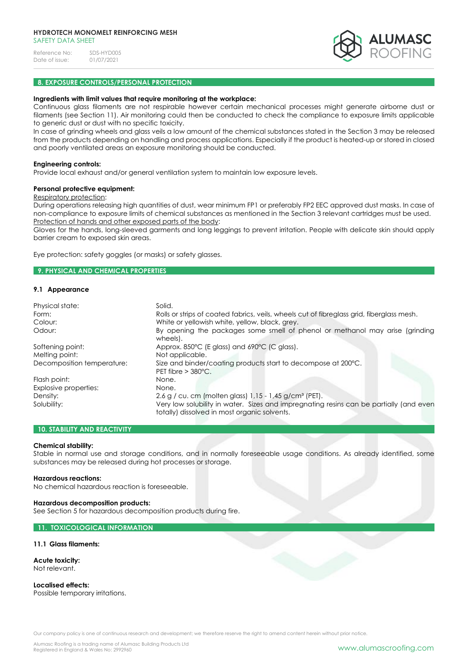

# **8. EXPOSURE CONTROLS/PERSONAL PROTECTION**

#### **Ingredients with limit values that require monitoring at the workplace:**

Continuous glass filaments are not respirable however certain mechanical processes might generate airborne dust or filaments (see Section 11). Air monitoring could then be conducted to check the compliance to exposure limits applicable to generic dust or dust with no specific toxicity.

In case of grinding wheels and glass veils a low amount of the chemical substances stated in the Section 3 may be released from the products depending on handling and process applications. Especially if the product is heated-up or stored in closed and poorly ventilated areas an exposure monitoring should be conducted.

### **Engineering controls:**

Provide local exhaust and/or general ventilation system to maintain low exposure levels.

#### **Personal protective equipment:**

#### Respiratory protection:

During operations releasing high quantities of dust, wear minimum FP1 or preferably FP2 EEC approved dust masks. In case of non-compliance to exposure limits of chemical substances as mentioned in the Section 3 relevant cartridges must be used. Protection of hands and other exposed parts of the body:

Gloves for the hands, long-sleeved garments and long leggings to prevent irritation. People with delicate skin should apply barrier cream to exposed skin areas.

Eye protection: safety goggles (or masks) or safety glasses.

### **9. PHYSICAL AND CHEMICAL PROPERTIES**

### **9.1 Appearance**

| Physical state:            | Solid.                                                                                                                                 |
|----------------------------|----------------------------------------------------------------------------------------------------------------------------------------|
| Form:                      | Rolls or strips of coated fabrics, veils, wheels cut of fibreglass grid, fiberglass mesh.                                              |
| Colour:                    | White or yellowish white, yellow, black, grey.                                                                                         |
| Odour:                     | By opening the packages some smell of phenol or methanol may arise (grinding<br>wheels).                                               |
| Softening point:           | Approx. 850°C (E glass) and 690°C (C glass).                                                                                           |
| Melting point:             | Not applicable.                                                                                                                        |
| Decomposition temperature: | Size and binder/coating products start to decompose at 200°C.<br>PET fibre $> 380^{\circ}$ C.                                          |
| Flash point:               | None.                                                                                                                                  |
| Explosive properties:      | None.                                                                                                                                  |
| Density:                   | 2.6 g / cu. cm (molten glass) 1,15 - 1,45 g/cm <sup>3</sup> (PET).                                                                     |
| Solubility:                | Very low solubility in water. Sizes and impregnating resins can be partially (and even<br>totally) dissolved in most organic solvents. |

### **10. STABILITY AND REACTIVITY**

### **Chemical stability:**

Stable in normal use and storage conditions, and in normally foreseeable usage conditions. As already identified, some substances may be released during hot processes or storage.

#### **Hazardous reactions:**

No chemical hazardous reaction is foreseeable.

### **Hazardous decomposition products:**

See Section 5 for hazardous decomposition products during fire.

### **11. TOXICOLOGICAL INFORMATION**

#### **11.1 Glass filaments:**

# **Acute toxicity:**

Not relevant.

**Localised effects:**  Possible temporary irritations.

Our company policy is one of continuous research and development; we therefore reserve the right to amend content herein without prior notice.

Alumasc Roofing is a trading name of Alumasc Building Products Ltd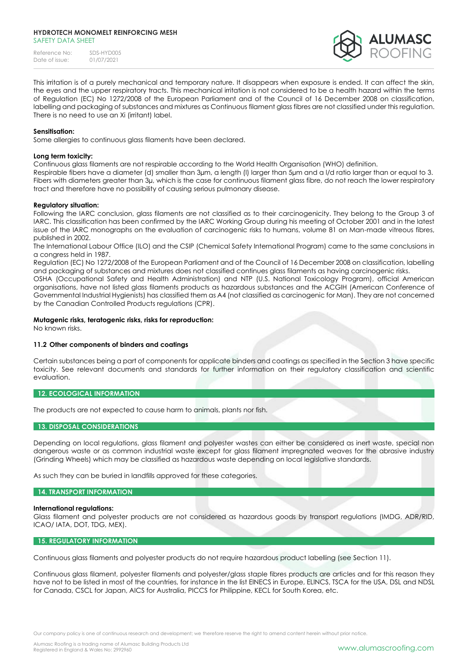### **HYDROTECH MONOMELT REINFORCING MESH** SAFFTY DATA SHFFT

Reference No: SDS-HYD005<br>Date of issue: 01/07/2021 Date of issue:



This irritation is of a purely mechanical and temporary nature. It disappears when exposure is ended. It can affect the skin, the eyes and the upper respiratory tracts. This mechanical irritation is not considered to be a health hazard within the terms of Regulation (EC) No 1272/2008 of the European Parliament and of the Council of 16 December 2008 on classification, labelling and packaging of substances and mixtures as Continuous filament glass fibres are not classified under this regulation. There is no need to use an Xi (irritant) label.

### **Sensitisation:**

Some allergies to continuous glass filaments have been declared.

### **Long term toxicity:**

Continuous glass filaments are not respirable according to the World Health Organisation (WHO) definition.

Respirable fibers have a diameter (d) smaller than 3µm, a length (l) larger than 5µm and a l/d ratio larger than or equal to 3. Fibers with diameters greater than 3µ, which is the case for continuous filament glass fibre, do not reach the lower respiratory tract and therefore have no possibility of causing serious pulmonary disease.

### **Regulatory situation:**

Following the IARC conclusion, glass filaments are not classified as to their carcinogenicity. They belong to the Group 3 of IARC. This classification has been confirmed by the IARC Working Group during his meeting of October 2001 and in the latest issue of the IARC monographs on the evaluation of carcinogenic risks to humans, volume 81 on Man-made vitreous fibres, published in 2002.

The International Labour Office (ILO) and the CSIP (Chemical Safety International Program) came to the same conclusions in a congress held in 1987.

Regulation (EC) No 1272/2008 of the European Parliament and of the Council of 16 December 2008 on classification, labelling and packaging of substances and mixtures does not classified continues glass filaments as having carcinogenic risks.

OSHA (Occupational Safety and Health Administration) and NTP (U.S. National Toxicology Program), official American organisations, have not listed glass filaments products as hazardous substances and the ACGIH (American Conference of Governmental Industrial Hygienists) has classified them as A4 (not classified as carcinogenic for Man). They are not concerned by the Canadian Controlled Products regulations (CPR).

### **Mutagenic risks, teratogenic risks, risks for reproduction:**

No known risks.

## **11.2 Other components of binders and coatings**

Certain substances being a part of components for applicate binders and coatings as specified in the Section 3 have specific toxicity. See relevant documents and standards for further information on their regulatory classification and scientific evaluation.

# **12. ECOLOGICAL INFORMATION**

The products are not expected to cause harm to animals, plants nor fish.

### **13. DISPOSAL CONSIDERATIONS**

Depending on local regulations, glass filament and polyester wastes can either be considered as inert waste, special non dangerous waste or as common industrial waste except for glass filament impregnated weaves for the abrasive industry (Grinding Wheels) which may be classified as hazardous waste depending on local legislative standards.

As such they can be buried in landfills approved for these categories.

## **14. TRANSPORT INFORMATION**

### **International regulations:**

Glass filament and polyester products are not considered as hazardous goods by transport regulations (IMDG, ADR/RID, ICAO/ IATA, DOT, TDG, MEX).

### **15. REGULATORY INFORMATION**

Continuous glass filaments and polyester products do not require hazardous product labelling (see Section 11).

Continuous glass filament, polyester filaments and polyester/glass staple fibres products are articles and for this reason they have not to be listed in most of the countries, for instance in the list EINECS in Europe, ELINCS, TSCA for the USA, DSL and NDSL for Canada, CSCL for Japan, AICS for Australia, PICCS for Philippine, KECL for South Korea, etc.